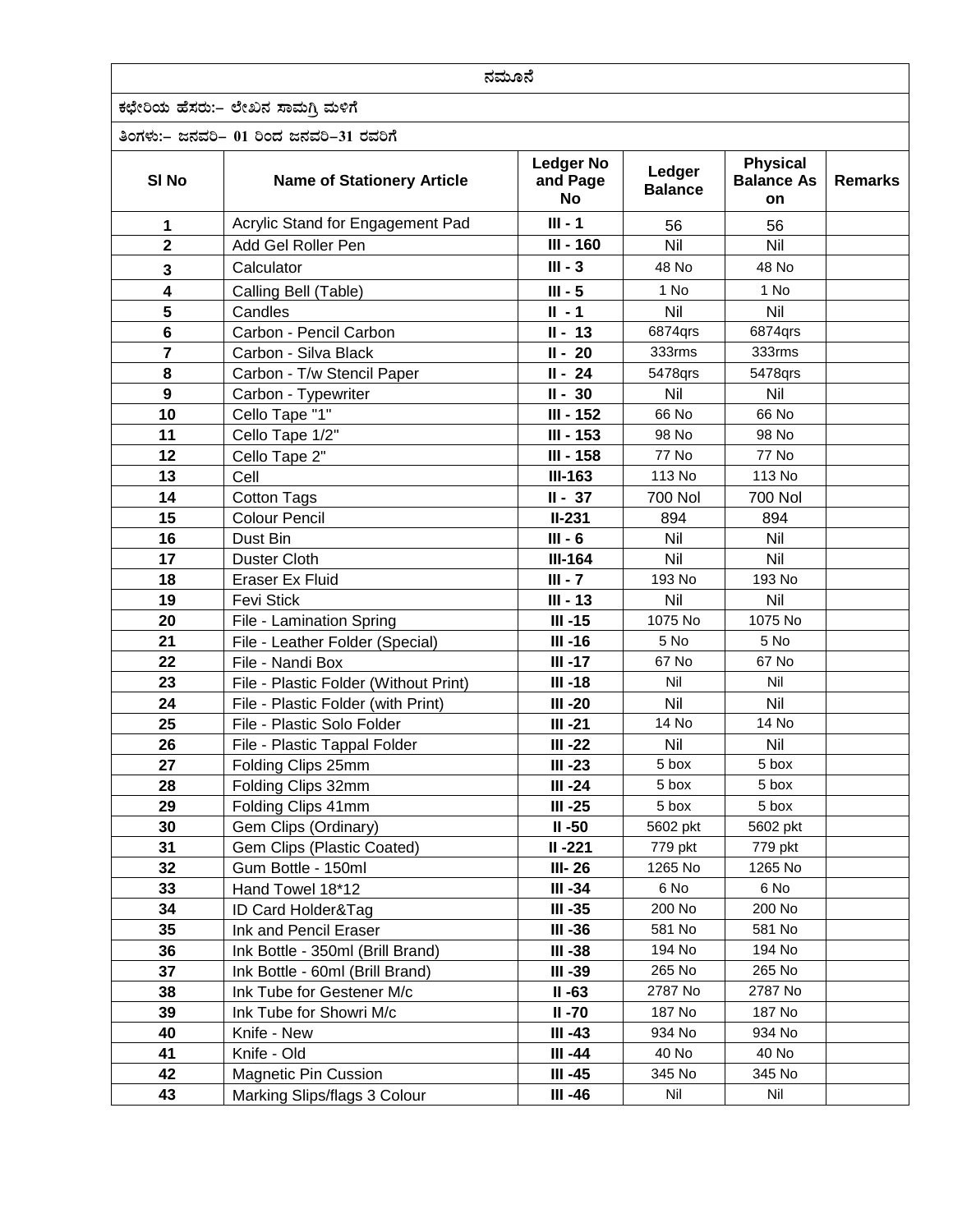| ನಮೂನೆ            |                                         |                                    |                          |                                                   |                |
|------------------|-----------------------------------------|------------------------------------|--------------------------|---------------------------------------------------|----------------|
|                  | ಕಛೇರಿಯ ಹೆಸರು:– ಲೇಖನ ಸಾಮಗ್ತಿ ಮಳಿಗೆ       |                                    |                          |                                                   |                |
|                  | ತಿಂಗಳು:– ಜನವರಿ– 01 ರಿಂದ ಜನವರಿ–31 ರವರಿಗೆ |                                    |                          |                                                   |                |
| SI <sub>No</sub> | <b>Name of Stationery Article</b>       | <b>Ledger No</b><br>and Page<br>No | Ledger<br><b>Balance</b> | <b>Physical</b><br><b>Balance As</b><br><b>on</b> | <b>Remarks</b> |
| 1                | Acrylic Stand for Engagement Pad        | $III - 1$                          | 56                       | 56                                                |                |
| $\overline{2}$   | Add Gel Roller Pen                      | III - 160                          | Nil                      | Nil                                               |                |
| 3                | Calculator                              | $III - 3$                          | 48 No                    | 48 No                                             |                |
| 4                | Calling Bell (Table)                    | $III - 5$                          | 1 No                     | 1 No                                              |                |
| 5                | Candles                                 | $II - 1$                           | Nil                      | Nil                                               |                |
| $6\phantom{1}$   | Carbon - Pencil Carbon                  | $II - 13$                          | 6874qrs                  | 6874qrs                                           |                |
| $\overline{7}$   | Carbon - Silva Black                    | $II - 20$                          | 333rms                   | 333rms                                            |                |
| 8                | Carbon - T/w Stencil Paper              | $II - 24$                          | 5478qrs                  | 5478qrs                                           |                |
| 9                | Carbon - Typewriter                     | $II - 30$                          | Nil                      | Nil                                               |                |
| 10               | Cello Tape "1"                          | III - 152                          | 66 No                    | 66 No                                             |                |
| 11               | Cello Tape 1/2"                         | III - 153                          | 98 No                    | 98 No                                             |                |
| 12               | Cello Tape 2"                           | III - 158                          | <b>77 No</b>             | 77 No                                             |                |
| 13               | Cell                                    | <b>III-163</b>                     | 113 No                   | 113 No                                            |                |
| 14               | <b>Cotton Tags</b>                      | $II - 37$                          | <b>700 Nol</b>           | <b>700 Nol</b>                                    |                |
| 15               | <b>Colour Pencil</b>                    | $II-231$                           | 894                      | 894                                               |                |
| 16               | Dust Bin                                | $III - 6$                          | Nil                      | Nil                                               |                |
| 17               | Duster Cloth                            | <b>III-164</b>                     | Nil                      | Nil                                               |                |
| 18               | <b>Eraser Ex Fluid</b>                  | $III - 7$                          | 193 No                   | 193 No                                            |                |
| 19               | <b>Fevi Stick</b>                       | $III - 13$                         | Nil                      | Nil                                               |                |
| 20               | File - Lamination Spring                | $III -15$                          | 1075 No                  | 1075 No                                           |                |
| 21               | File - Leather Folder (Special)         | $III -16$                          | 5 No                     | 5 No                                              |                |
| 22               | File - Nandi Box                        | $III -17$                          | 67 No                    | 67 No                                             |                |
| 23               | File - Plastic Folder (Without Print)   | $III -18$                          | Nil                      | Nil                                               |                |
| 24               | File - Plastic Folder (with Print)      | <b>III-20</b>                      | Nil                      | Nil                                               |                |
| 25               | File - Plastic Solo Folder              | $III -21$                          | 14 No                    | 14 No                                             |                |
| 26               | File - Plastic Tappal Folder            | III-22                             | Nil                      | Nil                                               |                |
| 27               | Folding Clips 25mm                      | $III -23$                          | 5 box                    | 5 box                                             |                |
| 28               | Folding Clips 32mm                      | $III -24$                          | 5 box                    | 5 box                                             |                |
| 29               | Folding Clips 41mm                      | $III -25$                          | 5 box                    | 5 box                                             |                |
| 30               | Gem Clips (Ordinary)                    | $II - 50$                          | 5602 pkt                 | 5602 pkt                                          |                |
| 31               | Gem Clips (Plastic Coated)              | $II - 221$                         | 779 pkt                  | 779 pkt                                           |                |
| 32               | Gum Bottle - 150ml                      | III-26                             | 1265 No                  | 1265 No                                           |                |
| 33               | Hand Towel 18*12                        | $III - 34$                         | 6 No                     | 6 No                                              |                |
| 34               | ID Card Holder&Tag                      | $III -35$                          | 200 No                   | 200 No                                            |                |
| 35               | Ink and Pencil Eraser                   | $III -36$                          | 581 No                   | 581 No                                            |                |
| 36               | Ink Bottle - 350ml (Brill Brand)        | $III - 38$                         | 194 No                   | 194 No                                            |                |
| 37               | Ink Bottle - 60ml (Brill Brand)         | III-39                             | 265 No                   | 265 No                                            |                |
| 38               | Ink Tube for Gestener M/c               | $II - 63$                          | 2787 No                  | 2787 No                                           |                |
| 39               | Ink Tube for Showri M/c                 | $II - 70$                          | 187 No                   | 187 No                                            |                |
| 40               | Knife - New                             | $III -43$                          | 934 No                   | 934 No                                            |                |
| 41               | Knife - Old                             | III-44                             | 40 No                    | 40 No                                             |                |
| 42               | <b>Magnetic Pin Cussion</b>             | $III -45$                          | 345 No                   | 345 No                                            |                |
| 43               | Marking Slips/flags 3 Colour            | III-46                             | Nil                      | Nil                                               |                |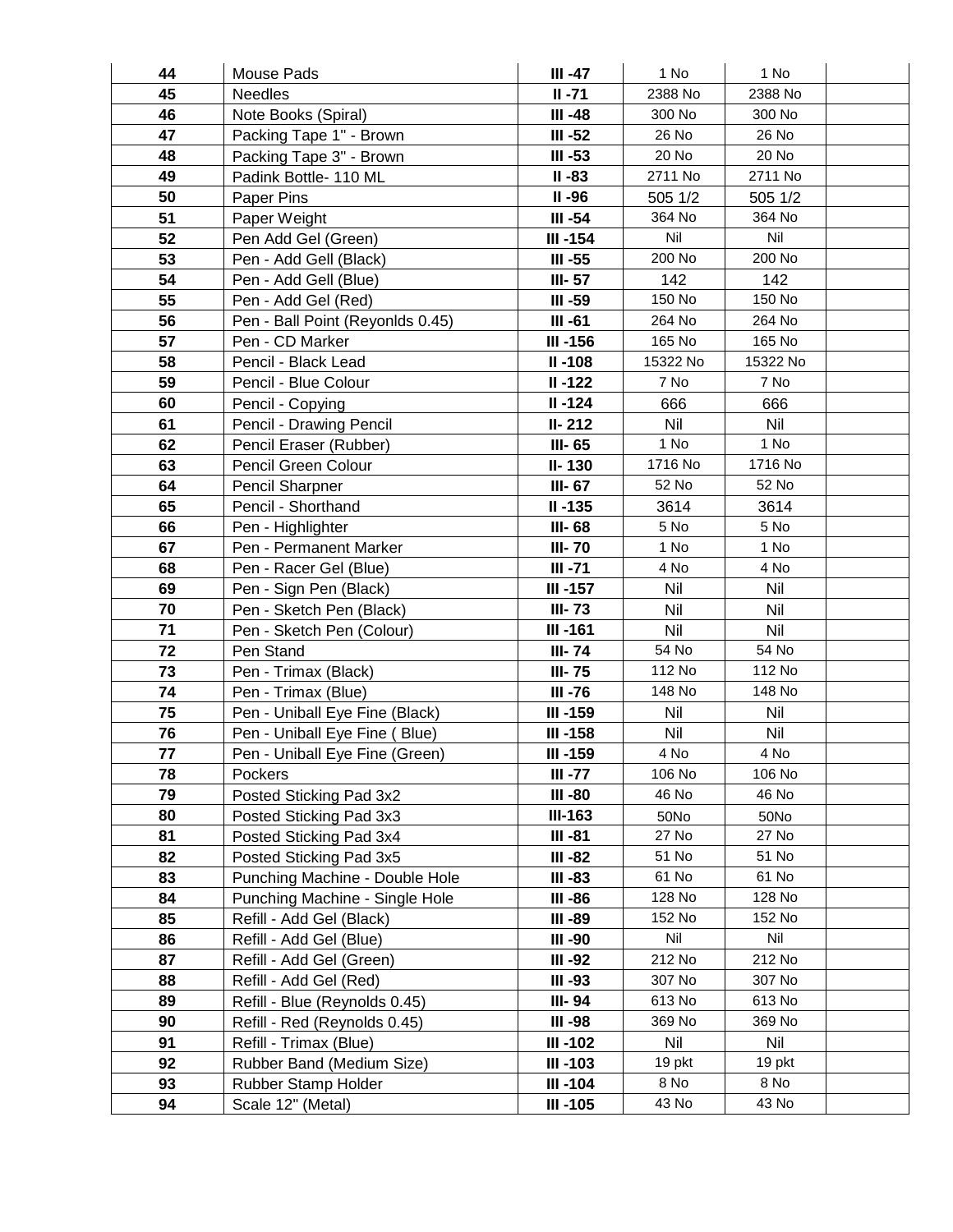| 44 | Mouse Pads                       | III -47        | 1 No     | 1 No     |  |
|----|----------------------------------|----------------|----------|----------|--|
| 45 | <b>Needles</b>                   | $II - 71$      | 2388 No  | 2388 No  |  |
| 46 | Note Books (Spiral)              | $III -48$      | 300 No   | 300 No   |  |
| 47 | Packing Tape 1" - Brown          | $III - 52$     | 26 No    | 26 No    |  |
| 48 | Packing Tape 3" - Brown          | $III - 53$     | 20 No    | 20 No    |  |
| 49 | Padink Bottle- 110 ML            | $II - 83$      | 2711 No  | 2711 No  |  |
| 50 | Paper Pins                       | $II - 96$      | 505 1/2  | 505 1/2  |  |
| 51 | Paper Weight                     | $III - 54$     | 364 No   | 364 No   |  |
| 52 | Pen Add Gel (Green)              | $III -154$     | Nil      | Nil      |  |
| 53 | Pen - Add Gell (Black)           | $III - 55$     | 200 No   | 200 No   |  |
| 54 | Pen - Add Gell (Blue)            | III-57         | 142      | 142      |  |
| 55 | Pen - Add Gel (Red)              | III-59         | 150 No   | 150 No   |  |
| 56 | Pen - Ball Point (Reyonlds 0.45) | $III -61$      | 264 No   | 264 No   |  |
| 57 | Pen - CD Marker                  | III-156        | 165 No   | 165 No   |  |
| 58 | Pencil - Black Lead              | $II - 108$     | 15322 No | 15322 No |  |
| 59 | Pencil - Blue Colour             | $II - 122$     | 7 No     | 7 No     |  |
| 60 | Pencil - Copying                 | $II - 124$     | 666      | 666      |  |
| 61 | Pencil - Drawing Pencil          | II-212         | Nil      | Nil      |  |
| 62 | Pencil Eraser (Rubber)           | III-65         | 1 No     | 1 No     |  |
| 63 | Pencil Green Colour              | II-130         | 1716 No  | 1716 No  |  |
| 64 | Pencil Sharpner                  | III-67         | 52 No    | 52 No    |  |
| 65 | Pencil - Shorthand               | $II - 135$     | 3614     | 3614     |  |
| 66 | Pen - Highlighter                | III-68         | 5 No     | 5 No     |  |
| 67 | Pen - Permanent Marker           | <b>III-70</b>  | 1 No     | 1 No     |  |
| 68 | Pen - Racer Gel (Blue)           | $III -71$      | 4 No     | 4 No     |  |
| 69 | Pen - Sign Pen (Black)           | $III -157$     | Nil      | Nil      |  |
| 70 | Pen - Sketch Pen (Black)         | $III - 73$     | Nil      | Nil      |  |
| 71 | Pen - Sketch Pen (Colour)        | <b>III-161</b> | Nil      | Nil      |  |
| 72 | Pen Stand                        | <b>III-74</b>  | 54 No    | 54 No    |  |
| 73 | Pen - Trimax (Black)             | <b>III-75</b>  | 112 No   | 112 No   |  |
| 74 | Pen - Trimax (Blue)              | <b>III-76</b>  | 148 No   | 148 No   |  |
| 75 | Pen - Uniball Eye Fine (Black)   | III-159        | Nil      | Nil      |  |
| 76 | Pen - Uniball Eye Fine (Blue)    | $III -158$     | Nil      | Nil      |  |
| 77 | Pen - Uniball Eye Fine (Green)   | III-159        | 4 No     | 4 No     |  |
| 78 | Pockers                          | III -77        | 106 No   | 106 No   |  |
| 79 | Posted Sticking Pad 3x2          | III-80         | 46 No    | 46 No    |  |
| 80 | Posted Sticking Pad 3x3          | <b>III-163</b> | 50No     | 50No     |  |
| 81 | Posted Sticking Pad 3x4          | III-81         | 27 No    | 27 No    |  |
| 82 | Posted Sticking Pad 3x5          | III-82         | 51 No    | 51 No    |  |
| 83 | Punching Machine - Double Hole   | $III - 83$     | 61 No    | 61 No    |  |
| 84 | Punching Machine - Single Hole   | III -86        | 128 No   | 128 No   |  |
| 85 | Refill - Add Gel (Black)         | III-89         | 152 No   | 152 No   |  |
| 86 | Refill - Add Gel (Blue)          | III-90         | Nil      | Nil      |  |
| 87 | Refill - Add Gel (Green)         | III-92         | 212 No   | 212 No   |  |
| 88 | Refill - Add Gel (Red)           | $III -93$      | 307 No   | 307 No   |  |
| 89 | Refill - Blue (Reynolds 0.45)    | III-94         | 613 No   | 613 No   |  |
| 90 | Refill - Red (Reynolds 0.45)     | III -98        | 369 No   | 369 No   |  |
| 91 | Refill - Trimax (Blue)           | $III - 102$    | Nil      | Nil      |  |
| 92 | Rubber Band (Medium Size)        | $III - 103$    | 19 pkt   | 19 pkt   |  |
| 93 | Rubber Stamp Holder              | III-104        | 8 No     | 8 No     |  |
| 94 | Scale 12" (Metal)                | $III -105$     | 43 No    | 43 No    |  |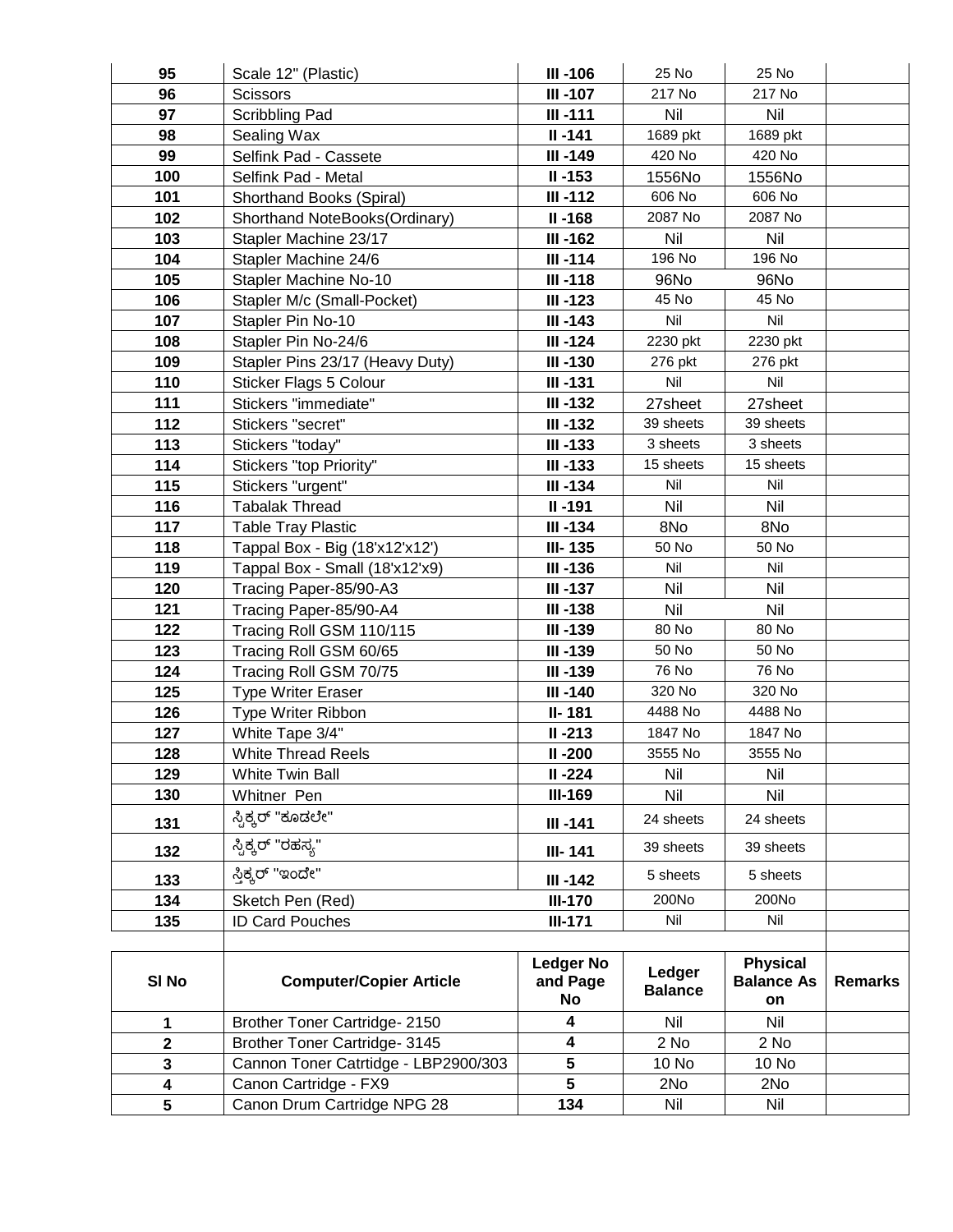| 95                      | Scale 12" (Plastic)                  | <b>III-106</b>                     | 25 No                    | 25 No                                      |                |
|-------------------------|--------------------------------------|------------------------------------|--------------------------|--------------------------------------------|----------------|
| 96                      | <b>Scissors</b>                      | $III - 107$                        | 217 No                   | 217 No                                     |                |
| 97                      | Scribbling Pad                       | $III - 111$                        | Nil                      | Nil                                        |                |
| 98                      | Sealing Wax                          | $II - 141$                         | 1689 pkt                 | 1689 pkt                                   |                |
| 99                      | Selfink Pad - Cassete                | III-149                            | 420 No                   | 420 No                                     |                |
| 100                     | Selfink Pad - Metal                  | $II - 153$                         | 1556No                   | 1556No                                     |                |
| 101                     | Shorthand Books (Spiral)             | $III - 112$                        | 606 No                   | 606 No                                     |                |
| 102                     | Shorthand NoteBooks(Ordinary)        | $II - 168$                         | 2087 No                  | 2087 No                                    |                |
| 103                     | Stapler Machine 23/17                | III-162                            | Nil                      | Nil                                        |                |
| 104                     | Stapler Machine 24/6                 | $III -114$                         | 196 No                   | 196 No                                     |                |
| 105                     | <b>Stapler Machine No-10</b>         | $III -118$                         | 96No                     | 96No                                       |                |
| 106                     | Stapler M/c (Small-Pocket)           | $III - 123$                        | 45 No                    | 45 No                                      |                |
| 107                     | Stapler Pin No-10                    | $III - 143$                        | Nil                      | Nil                                        |                |
| 108                     | Stapler Pin No-24/6                  | $III - 124$                        | 2230 pkt                 | 2230 pkt                                   |                |
| 109                     | Stapler Pins 23/17 (Heavy Duty)      | $III -130$                         | 276 pkt                  | 276 pkt                                    |                |
| 110                     | <b>Sticker Flags 5 Colour</b>        | $III - 131$                        | Nil                      | Nil                                        |                |
| 111                     | Stickers "immediate"                 | $III - 132$                        | 27sheet                  | 27sheet                                    |                |
| 112                     | Stickers "secret"                    | $III - 132$                        | 39 sheets                | 39 sheets                                  |                |
| 113                     | Stickers "today"                     | $III - 133$                        | 3 sheets                 | 3 sheets                                   |                |
| 114                     | Stickers "top Priority"              | $III - 133$                        | 15 sheets                | 15 sheets                                  |                |
| 115                     | Stickers "urgent"                    | $III - 134$                        | Nil                      | Nil                                        |                |
| 116                     | <b>Tabalak Thread</b>                | $II - 191$                         | Nil                      | <b>Nil</b>                                 |                |
| 117                     | <b>Table Tray Plastic</b>            | $III - 134$                        | 8No                      | 8No                                        |                |
| 118                     | Tappal Box - Big (18'x12'x12')       | <b>III-135</b>                     | 50 No                    | 50 No                                      |                |
| 119                     | Tappal Box - Small (18'x12'x9)       | $III -136$                         | Nil                      | Nil                                        |                |
| 120                     | Tracing Paper-85/90-A3               | $III - 137$                        | Nil                      | Nil                                        |                |
| 121                     | Tracing Paper-85/90-A4               | $III - 138$                        | Nil                      | <b>Nil</b>                                 |                |
| 122                     | Tracing Roll GSM 110/115             | III-139                            | 80 No                    | 80 No                                      |                |
| 123                     | Tracing Roll GSM 60/65               | <b>III-139</b>                     | 50 No                    | 50 No                                      |                |
| 124                     | Tracing Roll GSM 70/75               | $III -139$                         | 76 No                    | 76 No                                      |                |
| 125                     | <b>Type Writer Eraser</b>            | III-140                            | 320 No                   | 320 No                                     |                |
| 126                     | Type Writer Ribbon                   | II-181                             | 4488 No                  | 4488 No                                    |                |
| 127                     | White Tape 3/4"                      | $II - 213$                         | 1847 No                  | 1847 No                                    |                |
| 128                     | <b>White Thread Reels</b>            | $II - 200$                         | 3555 No                  | 3555 No                                    |                |
| 129                     | White Twin Ball                      | $II - 224$                         | Nil                      | Nil                                        |                |
| 130                     | Whitner Pen                          | <b>III-169</b>                     | Nil                      | Nil                                        |                |
| 131                     | ಸ್ಟಿಕ್ಕರ್ "ಕೂಡಲೇ"                    | III-141                            | 24 sheets                | 24 sheets                                  |                |
| 132                     | ಸ್ಟಿಕ್ಕರ್ "ರಹಸ್ಯ"                    | <b>III-141</b>                     | 39 sheets                | 39 sheets                                  |                |
| 133                     | ಸ್ತಿಕ್ಕರ್ "ಇಂದೇ"                     | $III - 142$                        | 5 sheets                 | 5 sheets                                   |                |
| 134                     | Sketch Pen (Red)                     | <b>III-170</b>                     | 200No                    | 200No                                      |                |
| 135                     | <b>ID Card Pouches</b>               | $III-171$                          | Nil                      | Nil                                        |                |
|                         |                                      |                                    |                          |                                            |                |
| SI <sub>No</sub>        | <b>Computer/Copier Article</b>       | <b>Ledger No</b><br>and Page<br>No | Ledger<br><b>Balance</b> | <b>Physical</b><br><b>Balance As</b><br>on | <b>Remarks</b> |
| 1                       | Brother Toner Cartridge- 2150        | 4                                  | Nil                      | Nil                                        |                |
| $\mathbf 2$             | Brother Toner Cartridge- 3145        | $\overline{\mathbf{4}}$            | 2 No                     | 2 No                                       |                |
| 3                       | Cannon Toner Catrtidge - LBP2900/303 | 5                                  | 10 No                    | 10 No                                      |                |
| $\overline{\mathbf{4}}$ | Canon Cartridge - FX9                | $\overline{5}$                     | 2No                      | 2No                                        |                |
| 5                       | Canon Drum Cartridge NPG 28          | 134                                | Nil                      | Nil                                        |                |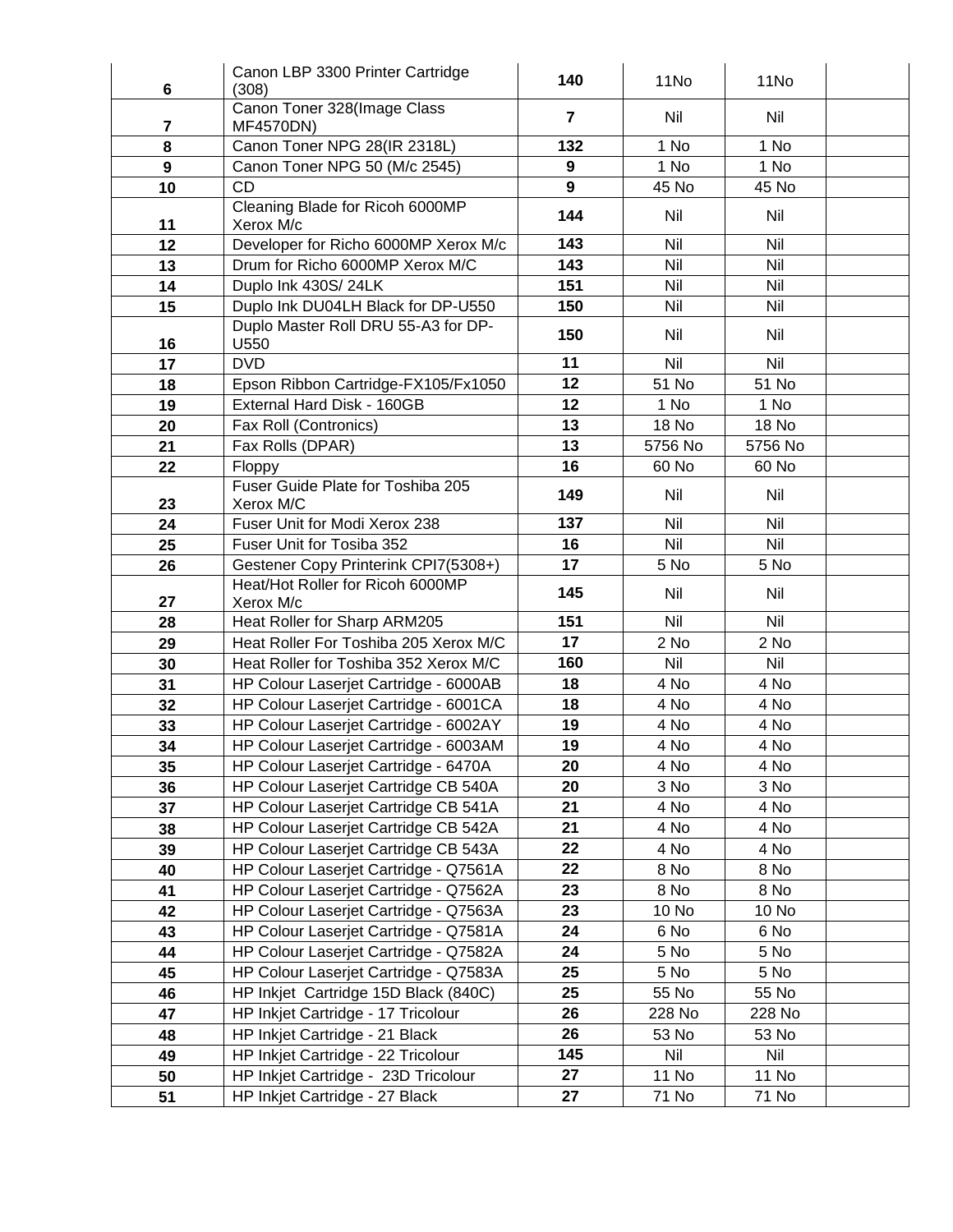| 6              | Canon LBP 3300 Printer Cartridge<br>(308)                                     | 140              | 11No         | 11No         |  |
|----------------|-------------------------------------------------------------------------------|------------------|--------------|--------------|--|
| $\overline{7}$ | Canon Toner 328(Image Class<br>MF4570DN)                                      | $\overline{7}$   | Nil          | Nil          |  |
| 8              | Canon Toner NPG 28(IR 2318L)                                                  | 132              | 1 No         | 1 No         |  |
| 9              | Canon Toner NPG 50 (M/c 2545)                                                 | $\boldsymbol{9}$ | 1 No         | 1 No         |  |
| 10             | <b>CD</b>                                                                     | $\overline{9}$   | 45 No        | 45 No        |  |
| 11             | Cleaning Blade for Ricoh 6000MP<br>Xerox M/c                                  | 144              | Nil          | Nil          |  |
| 12             | Developer for Richo 6000MP Xerox M/c                                          | 143              | Nil          | Nil          |  |
| 13             | Drum for Richo 6000MP Xerox M/C                                               | 143              | Nil          | Nil          |  |
| 14             | Duplo Ink 430S/24LK                                                           | 151              | Nil          | Nil          |  |
| 15             | Duplo Ink DU04LH Black for DP-U550                                            | 150              | Nil          | Nil          |  |
| 16             | Duplo Master Roll DRU 55-A3 for DP-<br>U550                                   | 150              | Nil          | Nil          |  |
| 17             | <b>DVD</b>                                                                    | 11               | Nil          | Nil          |  |
| 18             | Epson Ribbon Cartridge-FX105/Fx1050                                           | 12               | 51 No        | 51 No        |  |
| 19             | External Hard Disk - 160GB                                                    | 12               | 1 No         | 1 No         |  |
| 20             | Fax Roll (Contronics)                                                         | 13               | <b>18 No</b> | <b>18 No</b> |  |
| 21             | Fax Rolls (DPAR)                                                              | 13               | 5756 No      | 5756 No      |  |
| 22             | Floppy                                                                        | 16               | 60 No        | 60 No        |  |
| 23             | Fuser Guide Plate for Toshiba 205<br>Xerox M/C                                | 149              | Nil          | Nil          |  |
| 24             | Fuser Unit for Modi Xerox 238                                                 | 137              | Nil          | Nil          |  |
| 25             | Fuser Unit for Tosiba 352                                                     | 16               | Nil          | Nil          |  |
| 26             | Gestener Copy Printerink CPI7(5308+)                                          | 17               | 5 No         | 5 No         |  |
|                | Heat/Hot Roller for Ricoh 6000MP                                              | 145              | Nil          | Nil          |  |
| 27             | Xerox M/c                                                                     |                  |              |              |  |
| 28             | Heat Roller for Sharp ARM205                                                  | 151              | Nil          | Nil          |  |
| 29             | Heat Roller For Toshiba 205 Xerox M/C                                         | 17               | 2 No         | 2 No         |  |
| 30             | Heat Roller for Toshiba 352 Xerox M/C                                         | 160              | Nil          | <b>Nil</b>   |  |
| 31             | HP Colour Laserjet Cartridge - 6000AB                                         | 18               | 4 No         | 4 No         |  |
| 32             | HP Colour Laserjet Cartridge - 6001CA                                         | 18               | 4 No         | 4 No         |  |
| 33             | HP Colour Laserjet Cartridge - 6002AY                                         | 19               | 4 No         | 4 No         |  |
| 34             | HP Colour Laserjet Cartridge - 6003AM<br>HP Colour Laserjet Cartridge - 6470A | 19               | 4 No         | 4 No         |  |
| 35             |                                                                               | 20<br>20         | 4 No         | 4 No         |  |
| 36<br>37       | HP Colour Laserjet Cartridge CB 540A<br>HP Colour Laserjet Cartridge CB 541A  | 21               | 3 No<br>4 No | 3 No<br>4 No |  |
| 38             | HP Colour Laserjet Cartridge CB 542A                                          | 21               | 4 No         | 4 No         |  |
| 39             | HP Colour Laserjet Cartridge CB 543A                                          | 22               | 4 No         | 4 No         |  |
| 40             | HP Colour Laserjet Cartridge - Q7561A                                         | 22               | 8 No         | 8 No         |  |
| 41             | HP Colour Laserjet Cartridge - Q7562A                                         | 23               | 8 No         | 8 No         |  |
| 42             | HP Colour Laserjet Cartridge - Q7563A                                         | 23               | 10 No        | 10 No        |  |
| 43             | HP Colour Laserjet Cartridge - Q7581A                                         | 24               | 6 No         | 6 No         |  |
| 44             | HP Colour Laserjet Cartridge - Q7582A                                         | 24               | 5 No         | 5 No         |  |
| 45             | HP Colour Laserjet Cartridge - Q7583A                                         | 25               | 5 No         | 5 No         |  |
| 46             | HP Inkjet Cartridge 15D Black (840C)                                          | 25               | 55 No        | 55 No        |  |
| 47             | HP Inkjet Cartridge - 17 Tricolour                                            | 26               | 228 No       | 228 No       |  |
| 48             | HP Inkjet Cartridge - 21 Black                                                | 26               | 53 No        | 53 No        |  |
| 49             | HP Inkjet Cartridge - 22 Tricolour                                            | 145              | Nil          | Nil          |  |
| 50             | HP Inkjet Cartridge - 23D Tricolour                                           | 27               | 11 No        | <b>11 No</b> |  |
| 51             | HP Inkjet Cartridge - 27 Black                                                | 27               | 71 No        | 71 No        |  |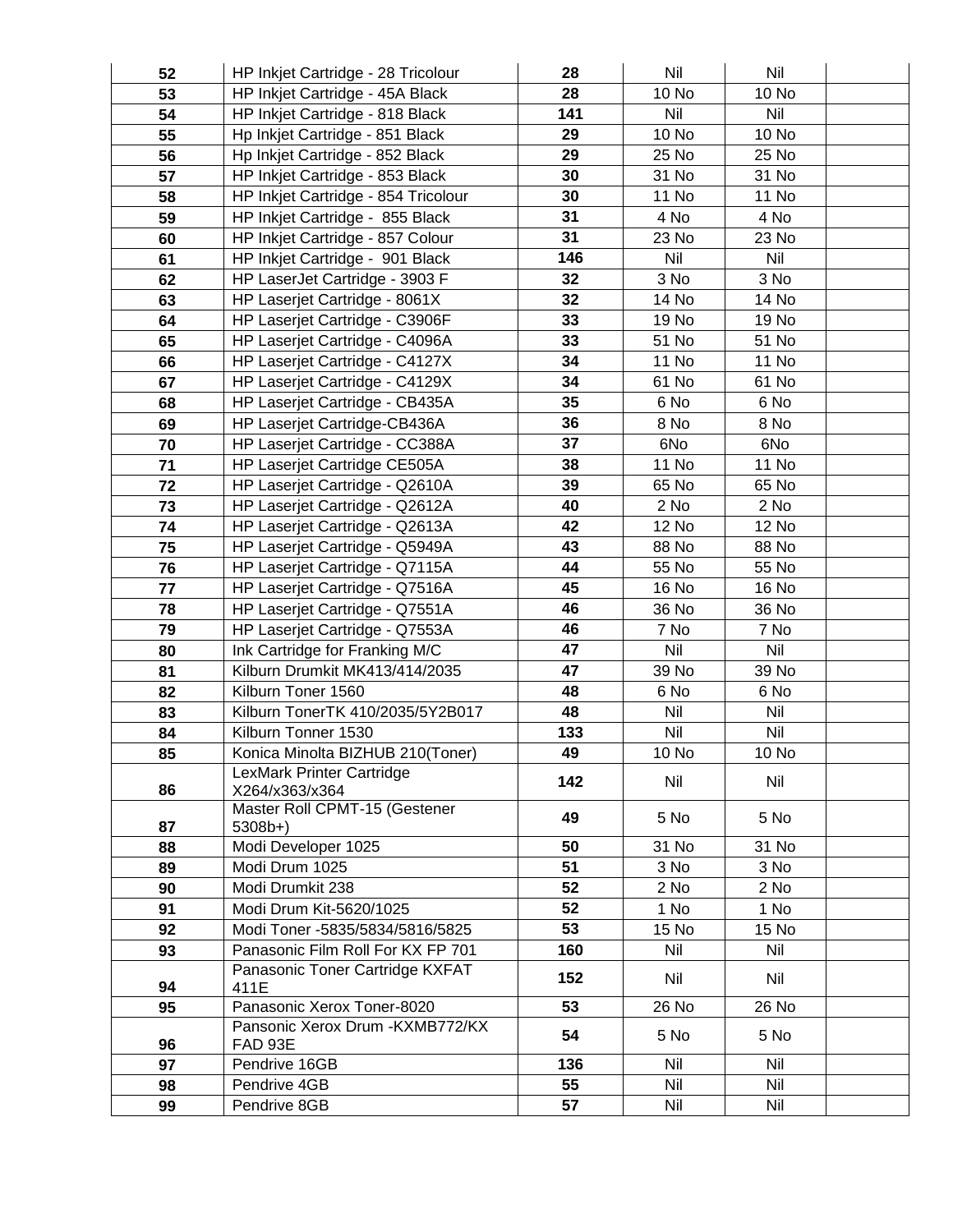| 52 | HP Inkjet Cartridge - 28 Tricolour        | 28  | Nil   | Nil          |  |
|----|-------------------------------------------|-----|-------|--------------|--|
| 53 | HP Inkjet Cartridge - 45A Black           | 28  | 10 No | 10 No        |  |
| 54 | HP Inkjet Cartridge - 818 Black           | 141 | Nil   | Nil          |  |
| 55 | Hp Inkjet Cartridge - 851 Black           | 29  | 10 No | 10 No        |  |
| 56 | Hp Inkjet Cartridge - 852 Black           | 29  | 25 No | 25 No        |  |
| 57 | HP Inkjet Cartridge - 853 Black           | 30  | 31 No | 31 No        |  |
| 58 | HP Inkjet Cartridge - 854 Tricolour       | 30  | 11 No | 11 No        |  |
| 59 | HP Inkjet Cartridge - 855 Black           | 31  | 4 No  | 4 No         |  |
| 60 | HP Inkjet Cartridge - 857 Colour          | 31  | 23 No | 23 No        |  |
| 61 | HP Inkjet Cartridge - 901 Black           | 146 | Nil   | Nil          |  |
| 62 | HP LaserJet Cartridge - 3903 F            | 32  | 3 No  | 3 No         |  |
| 63 | HP Laserjet Cartridge - 8061X             | 32  | 14 No | 14 No        |  |
| 64 | HP Laserjet Cartridge - C3906F            | 33  | 19 No | 19 No        |  |
| 65 | HP Laserjet Cartridge - C4096A            | 33  | 51 No | 51 No        |  |
| 66 | HP Laserjet Cartridge - C4127X            | 34  | 11 No | 11 No        |  |
| 67 | HP Laserjet Cartridge - C4129X            | 34  | 61 No | 61 No        |  |
| 68 | HP Laserjet Cartridge - CB435A            | 35  | 6 No  | 6 No         |  |
| 69 | HP Laserjet Cartridge-CB436A              | 36  | 8 No  | 8 No         |  |
| 70 | HP Laserjet Cartridge - CC388A            | 37  | 6No   | 6No          |  |
| 71 | HP Laserjet Cartridge CE505A              | 38  | 11 No | <b>11 No</b> |  |
| 72 | HP Laserjet Cartridge - Q2610A            | 39  | 65 No | 65 No        |  |
| 73 | HP Laserjet Cartridge - Q2612A            | 40  | 2 No  | $2$ No       |  |
| 74 | HP Laserjet Cartridge - Q2613A            | 42  | 12 No | <b>12 No</b> |  |
| 75 | HP Laserjet Cartridge - Q5949A            | 43  | 88 No | 88 No        |  |
| 76 | HP Laserjet Cartridge - Q7115A            | 44  | 55 No | 55 No        |  |
| 77 | HP Laserjet Cartridge - Q7516A            | 45  | 16 No | 16 No        |  |
| 78 | HP Laserjet Cartridge - Q7551A            | 46  | 36 No | 36 No        |  |
| 79 | HP Laserjet Cartridge - Q7553A            | 46  | 7 No  | 7 No         |  |
| 80 | Ink Cartridge for Franking M/C            | 47  | Nil   | Nil          |  |
| 81 | Kilburn Drumkit MK413/414/2035            | 47  | 39 No | 39 No        |  |
| 82 | Kilburn Toner 1560                        | 48  | 6 No  | 6 No         |  |
| 83 | Kilburn TonerTK 410/2035/5Y2B017          | 48  | Nil   | Nil          |  |
| 84 | Kilburn Tonner 1530                       | 133 | Nil   | Nil          |  |
| 85 | Konica Minolta BIZHUB 210(Toner)          | 49  | 10 No | 10 No        |  |
|    | LexMark Printer Cartridge                 | 142 | Nil   | Nil          |  |
| 86 | X264/x363/x364                            |     |       |              |  |
| 87 | Master Roll CPMT-15 (Gestener<br>$5308b+$ | 49  | 5 No  | 5 No         |  |
| 88 | Modi Developer 1025                       | 50  | 31 No | 31 No        |  |
| 89 | Modi Drum 1025                            | 51  | 3 No  | 3 No         |  |
| 90 | Modi Drumkit 238                          | 52  | 2 No  | 2 No         |  |
| 91 | Modi Drum Kit-5620/1025                   | 52  | 1 No  | 1 No         |  |
| 92 | Modi Toner -5835/5834/5816/5825           | 53  | 15 No | 15 No        |  |
| 93 | Panasonic Film Roll For KX FP 701         | 160 | Nil   | Nil          |  |
|    | Panasonic Toner Cartridge KXFAT           |     |       |              |  |
| 94 | 411E                                      | 152 | Nil   | Nil          |  |
| 95 | Panasonic Xerox Toner-8020                | 53  | 26 No | 26 No        |  |
|    | Pansonic Xerox Drum - KXMB772/KX          | 54  | 5 No  | 5 No         |  |
| 96 | FAD 93E                                   |     |       |              |  |
| 97 | Pendrive 16GB                             | 136 | Nil   | Nil          |  |
| 98 | Pendrive 4GB                              | 55  | Nil   | Nil          |  |
| 99 | Pendrive 8GB                              | 57  | Nil   | Nil          |  |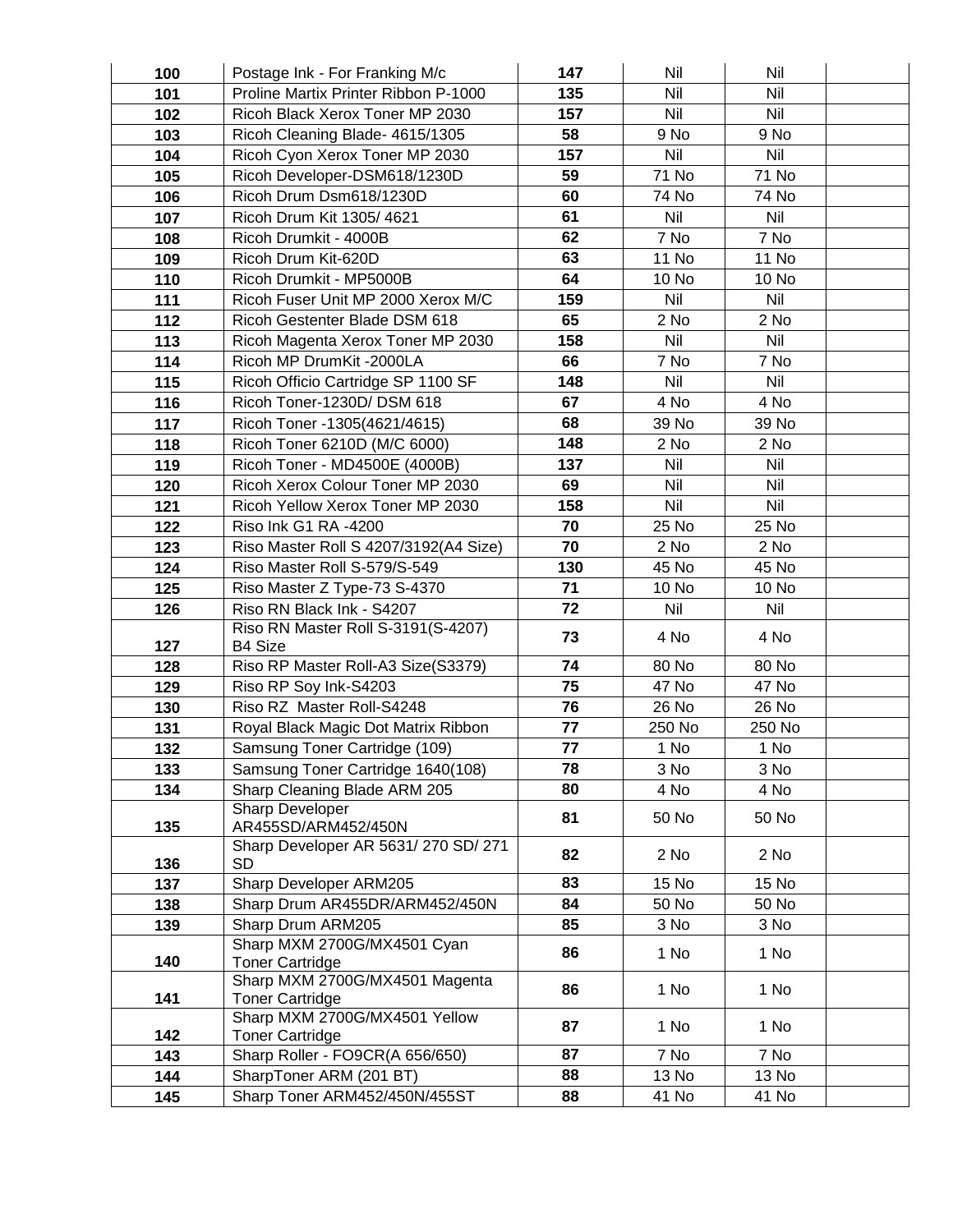| 100        | Postage Ink - For Franking M/c                           | 147      | Nil            | Nil            |  |
|------------|----------------------------------------------------------|----------|----------------|----------------|--|
| 101        | Proline Martix Printer Ribbon P-1000                     | 135      | Nil            | Nil            |  |
| 102        | Ricoh Black Xerox Toner MP 2030                          | 157      | Nil            | <b>Nil</b>     |  |
| 103        | Ricoh Cleaning Blade- 4615/1305                          | 58       | 9 No           | 9 No           |  |
| 104        | Ricoh Cyon Xerox Toner MP 2030                           | 157      | Nil            | Nil            |  |
| 105        | Ricoh Developer-DSM618/1230D                             | 59       | 71 No          | 71 No          |  |
| 106        | Ricoh Drum Dsm618/1230D                                  | 60       | 74 No          | 74 No          |  |
| 107        | Ricoh Drum Kit 1305/4621                                 | 61       | Nil            | Nil            |  |
| 108        | Ricoh Drumkit - 4000B                                    | 62       | 7 No           | 7 No           |  |
| 109        | Ricoh Drum Kit-620D                                      | 63       | <b>11 No</b>   | <b>11 No</b>   |  |
| 110        | Ricoh Drumkit - MP5000B                                  | 64       | 10 No          | 10 No          |  |
| 111        | Ricoh Fuser Unit MP 2000 Xerox M/C                       | 159      | Nil            | Nil            |  |
| 112        | Ricoh Gestenter Blade DSM 618                            | 65       | 2 No           | 2 No           |  |
| 113        | Ricoh Magenta Xerox Toner MP 2030                        | 158      | Nil            | Nil            |  |
| 114        | Ricoh MP DrumKit -2000LA                                 | 66       | 7 No           | 7 No           |  |
| 115        | Ricoh Officio Cartridge SP 1100 SF                       | 148      | Nil            | Nil            |  |
| 116        | Ricoh Toner-1230D/ DSM 618                               | 67       | 4 No           | 4 No           |  |
| 117        | Ricoh Toner -1305(4621/4615)                             | 68       | 39 No          | 39 No          |  |
| 118        | Ricoh Toner 6210D (M/C 6000)                             | 148      | 2 No           | 2 No           |  |
| 119        | Ricoh Toner - MD4500E (4000B)                            | 137      | Nil            | Nil            |  |
| 120        | Ricoh Xerox Colour Toner MP 2030                         | 69       | Nil            | Nil            |  |
| 121        | Ricoh Yellow Xerox Toner MP 2030                         | 158      | Nil            | <b>Nil</b>     |  |
| 122        | Riso Ink G1 RA -4200                                     | 70       | 25 No          | 25 No          |  |
| 123        | Riso Master Roll S 4207/3192(A4 Size)                    | 70       | 2 No           | 2 No           |  |
| 124        | Riso Master Roll S-579/S-549                             | 130      | 45 No          | 45 No          |  |
| 125        | Riso Master Z Type-73 S-4370                             | 71       | 10 No          | 10 No          |  |
| 126        | Riso RN Black Ink - S4207                                | 72       | Nil            | Nil            |  |
|            | Riso RN Master Roll S-3191(S-4207)                       | 73       | 4 No           | 4 No           |  |
| 127        | <b>B4 Size</b>                                           |          |                |                |  |
| 128        | Riso RP Master Roll-A3 Size(S3379)                       | 74<br>75 | 80 No<br>47 No | 80 No<br>47 No |  |
| 129<br>130 | Riso RP Soy Ink-S4203<br>Riso RZ Master Roll-S4248       | 76       | 26 No          | 26 No          |  |
| 131        | Royal Black Magic Dot Matrix Ribbon                      | 77       | 250 No         | 250 No         |  |
| 132        | Samsung Toner Cartridge (109)                            | 77       | 1 No           | 1 No           |  |
| 133        | Samsung Toner Cartridge 1640(108)                        | 78       | 3 No           | 3 No           |  |
| 134        | Sharp Cleaning Blade ARM 205                             | 80       | 4 No           | 4 No           |  |
|            | Sharp Developer                                          |          |                |                |  |
| 135        | AR455SD/ARM452/450N                                      | 81       | 50 No          | 50 No          |  |
|            | Sharp Developer AR 5631/270 SD/271                       | 82       |                |                |  |
| 136        | <b>SD</b>                                                |          | 2 No           | 2 No           |  |
| 137        | Sharp Developer ARM205                                   | 83       | 15 No          | 15 No          |  |
| 138        | Sharp Drum AR455DR/ARM452/450N                           | 84       | 50 No          | 50 No          |  |
| 139        | Sharp Drum ARM205                                        | 85       | 3 No           | 3 No           |  |
|            | Sharp MXM 2700G/MX4501 Cyan                              | 86       | 1 No           | 1 No           |  |
| 140        | <b>Toner Cartridge</b>                                   |          |                |                |  |
| 141        | Sharp MXM 2700G/MX4501 Magenta<br><b>Toner Cartridge</b> | 86       | 1 No           | 1 No           |  |
|            | Sharp MXM 2700G/MX4501 Yellow                            |          |                |                |  |
| 142        | <b>Toner Cartridge</b>                                   | 87       | 1 No           | 1 No           |  |
| 143        | Sharp Roller - FO9CR(A 656/650)                          | 87       | 7 No           | 7 No           |  |
| 144        | SharpToner ARM (201 BT)                                  | 88       | 13 No          | 13 No          |  |
| 145        | Sharp Toner ARM452/450N/455ST                            | 88       | 41 No          | 41 No          |  |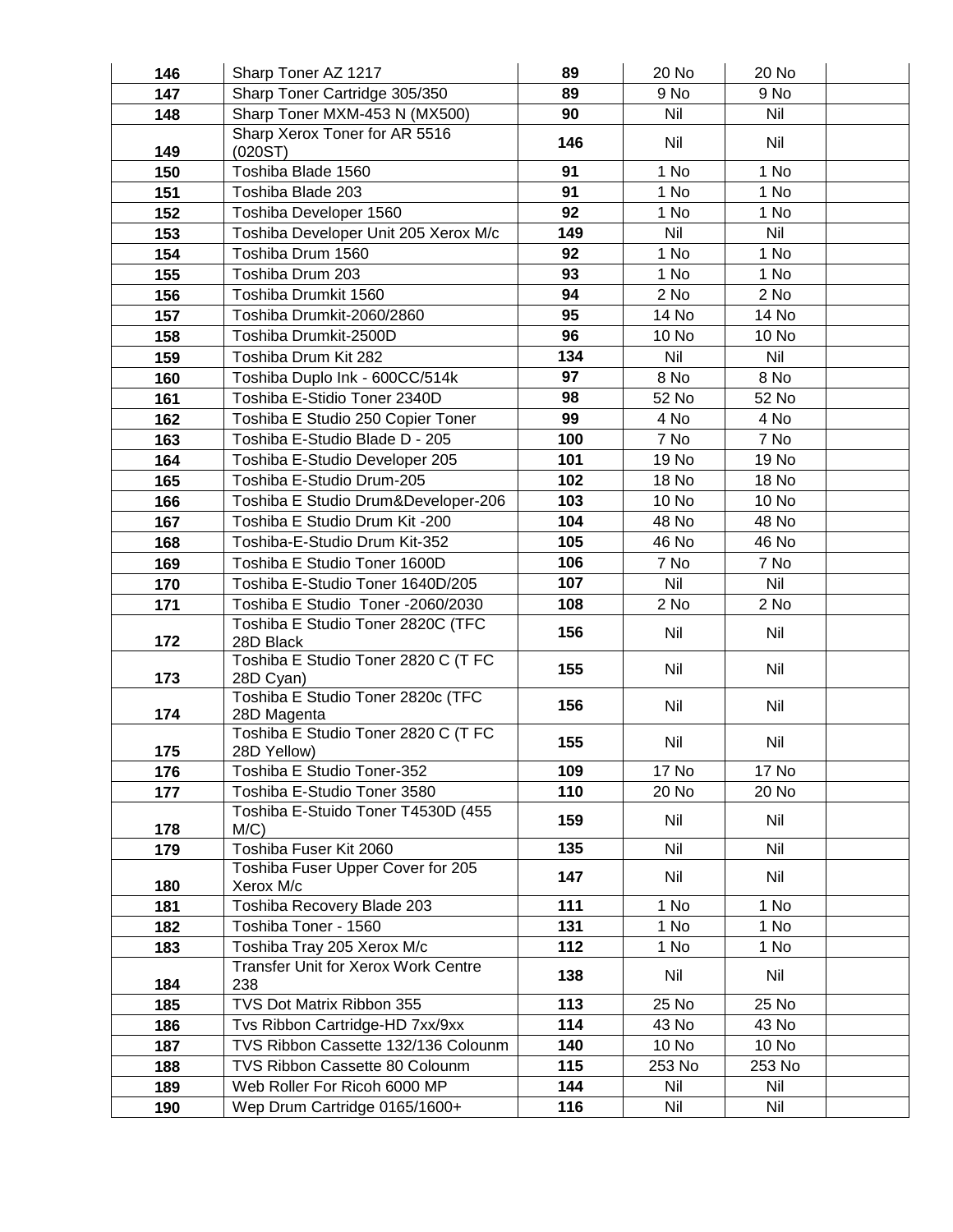| 146 | Sharp Toner AZ 1217                                | 89  | 20 No      | 20 No      |  |
|-----|----------------------------------------------------|-----|------------|------------|--|
| 147 | Sharp Toner Cartridge 305/350                      | 89  | 9 No       | 9 No       |  |
| 148 | Sharp Toner MXM-453 N (MX500)                      | 90  | <b>Nil</b> | <b>Nil</b> |  |
| 149 | Sharp Xerox Toner for AR 5516<br>(020ST)           | 146 | Nil        | Nil        |  |
| 150 | Toshiba Blade 1560                                 | 91  | 1 No       | 1 No       |  |
| 151 | Toshiba Blade 203                                  | 91  | 1 No       | 1 No       |  |
| 152 | Toshiba Developer 1560                             | 92  | 1 No       | 1 No       |  |
| 153 | Toshiba Developer Unit 205 Xerox M/c               | 149 | Nil        | Nil        |  |
| 154 | Toshiba Drum 1560                                  | 92  | 1 No       | 1 No       |  |
| 155 | Toshiba Drum 203                                   | 93  | 1 No       | 1 No       |  |
| 156 | Toshiba Drumkit 1560                               | 94  | 2 No       | $2$ No     |  |
| 157 | Toshiba Drumkit-2060/2860                          | 95  | 14 No      | 14 No      |  |
| 158 | Toshiba Drumkit-2500D                              | 96  | 10 No      | 10 No      |  |
| 159 | Toshiba Drum Kit 282                               | 134 | <b>Nil</b> | Nil        |  |
| 160 | Toshiba Duplo Ink - 600CC/514k                     | 97  | 8 No       | 8 No       |  |
| 161 | Toshiba E-Stidio Toner 2340D                       | 98  | 52 No      | 52 No      |  |
| 162 | Toshiba E Studio 250 Copier Toner                  | 99  | 4 No       | 4 No       |  |
| 163 | Toshiba E-Studio Blade D - 205                     | 100 | 7 No       | 7 No       |  |
| 164 | Toshiba E-Studio Developer 205                     | 101 | 19 No      | 19 No      |  |
| 165 | Toshiba E-Studio Drum-205                          | 102 | 18 No      | 18 No      |  |
| 166 | Toshiba E Studio Drum&Developer-206                | 103 | 10 No      | 10 No      |  |
| 167 | Toshiba E Studio Drum Kit -200                     | 104 | 48 No      | 48 No      |  |
| 168 | Toshiba-E-Studio Drum Kit-352                      | 105 | 46 No      | 46 No      |  |
| 169 | Toshiba E Studio Toner 1600D                       | 106 | 7 No       | 7 No       |  |
| 170 | Toshiba E-Studio Toner 1640D/205                   | 107 | Nil        | Nil        |  |
| 171 | Toshiba E Studio Toner -2060/2030                  | 108 | 2 No       | 2 No       |  |
| 172 | Toshiba E Studio Toner 2820C (TFC<br>28D Black     | 156 | Nil        | Nil        |  |
| 173 | Toshiba E Studio Toner 2820 C (T FC<br>28D Cyan)   | 155 | Nil        | Nil        |  |
| 174 | Toshiba E Studio Toner 2820c (TFC<br>28D Magenta   | 156 | Nil        | Nil        |  |
| 175 | Toshiba E Studio Toner 2820 C (T FC<br>28D Yellow) | 155 | Nil        | Nil        |  |
| 176 | Toshiba E Studio Toner-352                         | 109 | 17 No      | 17 No      |  |
| 177 | Toshiba E-Studio Toner 3580                        | 110 | 20 No      | 20 No      |  |
| 178 | Toshiba E-Stuido Toner T4530D (455<br>$M/C$ )      | 159 | Nil        | Nil        |  |
| 179 | Toshiba Fuser Kit 2060                             | 135 | Nil        | Nil        |  |
| 180 | Toshiba Fuser Upper Cover for 205<br>Xerox M/c     | 147 | Nil        | Nil        |  |
| 181 | Toshiba Recovery Blade 203                         | 111 | 1 No       | 1 No       |  |
| 182 | Toshiba Toner - 1560                               | 131 | 1 No       | 1 No       |  |
| 183 | Toshiba Tray 205 Xerox M/c                         | 112 | 1 No       | 1 No       |  |
| 184 | <b>Transfer Unit for Xerox Work Centre</b><br>238  | 138 | Nil        | Nil        |  |
| 185 | TVS Dot Matrix Ribbon 355                          | 113 | 25 No      | 25 No      |  |
| 186 | Tvs Ribbon Cartridge-HD 7xx/9xx                    | 114 | 43 No      | 43 No      |  |
| 187 | TVS Ribbon Cassette 132/136 Colounm                | 140 | 10 No      | 10 No      |  |
| 188 | TVS Ribbon Cassette 80 Colounm                     | 115 | 253 No     | 253 No     |  |
| 189 | Web Roller For Ricoh 6000 MP                       | 144 | Nil        | Nil        |  |
| 190 | Wep Drum Cartridge 0165/1600+                      | 116 | Nil        | Nil        |  |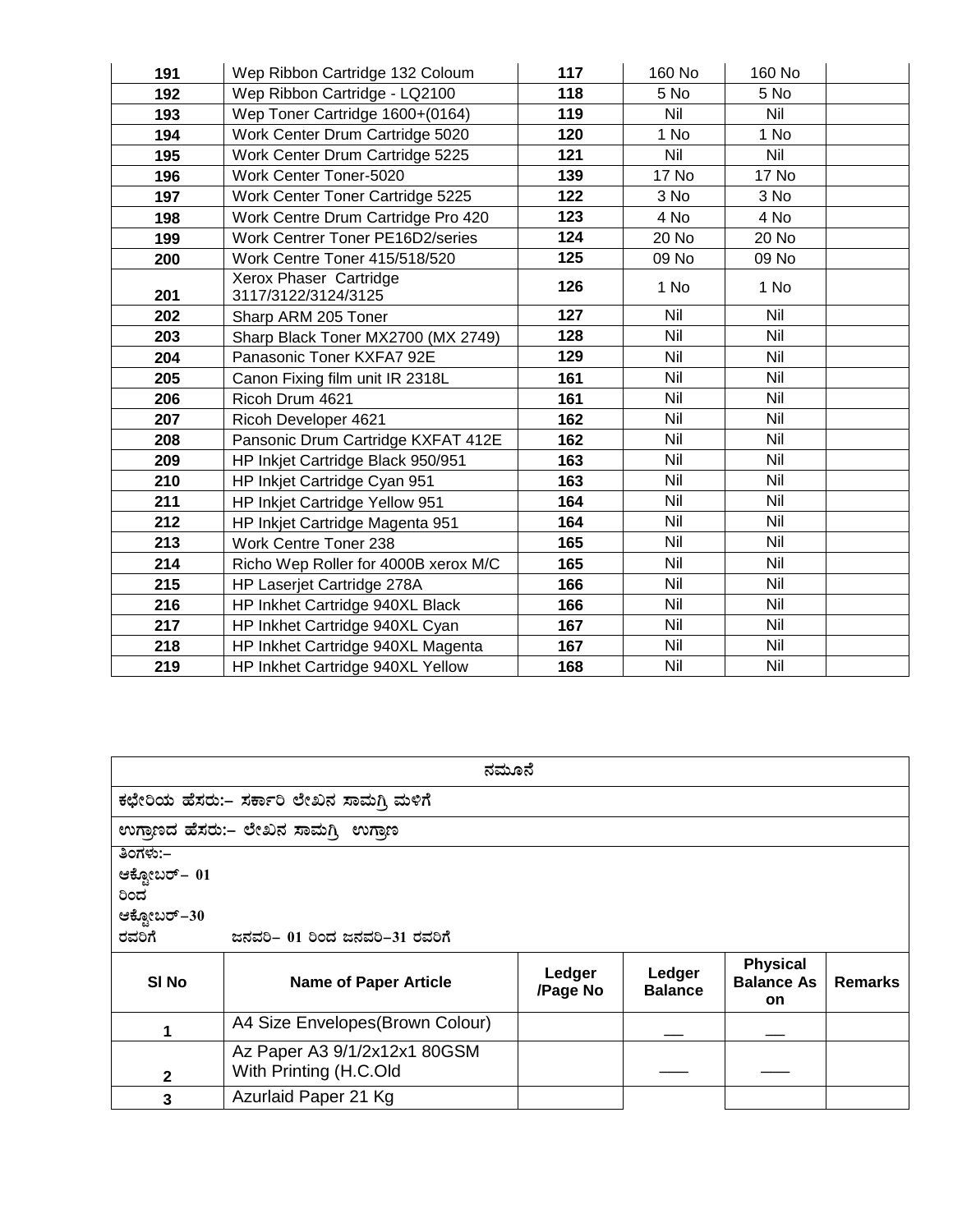| 191 | Wep Ribbon Cartridge 132 Coloum               | 117 | 160 No       | 160 No       |  |
|-----|-----------------------------------------------|-----|--------------|--------------|--|
| 192 | Wep Ribbon Cartridge - LQ2100                 | 118 | 5 No         | 5 No         |  |
| 193 | Wep Toner Cartridge 1600+(0164)               | 119 | Nil          | Nil          |  |
| 194 | Work Center Drum Cartridge 5020               | 120 | 1 No         | 1 No         |  |
| 195 | Work Center Drum Cartridge 5225               | 121 | Nil          | Nil          |  |
| 196 | Work Center Toner-5020                        | 139 | <b>17 No</b> | <b>17 No</b> |  |
| 197 | Work Center Toner Cartridge 5225              | 122 | 3 No         | 3 No         |  |
| 198 | Work Centre Drum Cartridge Pro 420            | 123 | 4 No         | 4 No         |  |
| 199 | Work Centrer Toner PE16D2/series              | 124 | 20 No        | 20 No        |  |
| 200 | Work Centre Toner 415/518/520                 | 125 | 09 No        | 09 No        |  |
| 201 | Xerox Phaser Cartridge<br>3117/3122/3124/3125 | 126 | 1 No         | 1 No         |  |
| 202 | Sharp ARM 205 Toner                           | 127 | Nil          | Nil          |  |
| 203 | Sharp Black Toner MX2700 (MX 2749)            | 128 | Nil          | Nil          |  |
| 204 | Panasonic Toner KXFA7 92E                     | 129 | Nil          | Nil          |  |
| 205 | Canon Fixing film unit IR 2318L               | 161 | Nil          | Nil          |  |
| 206 | Ricoh Drum 4621                               | 161 | Nil          | Nil          |  |
| 207 | Ricoh Developer 4621                          | 162 | Nil          | Nil          |  |
| 208 | Pansonic Drum Cartridge KXFAT 412E            | 162 | Nil          | Nil          |  |
| 209 | HP Inkjet Cartridge Black 950/951             | 163 | Nil          | Nil          |  |
| 210 | HP Inkjet Cartridge Cyan 951                  | 163 | Nil          | Nil          |  |
| 211 | HP Inkjet Cartridge Yellow 951                | 164 | Nil          | Nil          |  |
| 212 | HP Inkjet Cartridge Magenta 951               | 164 | Nil          | Nil          |  |
| 213 | Work Centre Toner 238                         | 165 | Nil          | Nil          |  |
| 214 | Richo Wep Roller for 4000B xerox M/C          | 165 | Nil          | Nil          |  |
| 215 | HP Laserjet Cartridge 278A                    | 166 | Nil          | Nil          |  |
| 216 | HP Inkhet Cartridge 940XL Black               | 166 | Nil          | Nil          |  |
| 217 | HP Inkhet Cartridge 940XL Cyan                | 167 | Nil          | Nil          |  |
| 218 | HP Inkhet Cartridge 940XL Magenta             | 167 | Nil          | Nil          |  |
| 219 | HP Inkhet Cartridge 940XL Yellow              | 168 | Nil          | Nil          |  |

|                                                                                             | ನಮೂನೆ                                                  |                    |                          |                                                   |                |  |
|---------------------------------------------------------------------------------------------|--------------------------------------------------------|--------------------|--------------------------|---------------------------------------------------|----------------|--|
|                                                                                             | ಕಛೇರಿಯ ಹೆಸರು:– ಸರ್ಕಾರಿ ಲೇಖನ ಸಾಮಗಿ ಮಳಿಗೆ                |                    |                          |                                                   |                |  |
|                                                                                             | ಉಗಾಣದ ಹೆಸರು:– ಲೇಖನ ಸಾಮಗ್ಗಿ ಉಗಾಣ                        |                    |                          |                                                   |                |  |
| ತಿಂಗಳು:–<br>ಆಕ್ಟೋಬರ್– 01<br>ರಿಂದ<br>ಆಕ್ಟೋಬರ್–30<br>ರವರಿಗೆ<br>ಜನವರಿ– 01 ರಿಂದ ಜನವರಿ–31 ರವರಿಗೆ |                                                        |                    |                          |                                                   |                |  |
| SI No                                                                                       | <b>Name of Paper Article</b>                           | Ledger<br>/Page No | Ledger<br><b>Balance</b> | <b>Physical</b><br><b>Balance As</b><br><b>on</b> | <b>Remarks</b> |  |
|                                                                                             | A4 Size Envelopes(Brown Colour)                        |                    |                          |                                                   |                |  |
| 2                                                                                           | Az Paper A3 9/1/2x12x1 80GSM<br>With Printing (H.C.Old |                    |                          |                                                   |                |  |
| 3                                                                                           | Azurlaid Paper 21 Kg                                   |                    |                          |                                                   |                |  |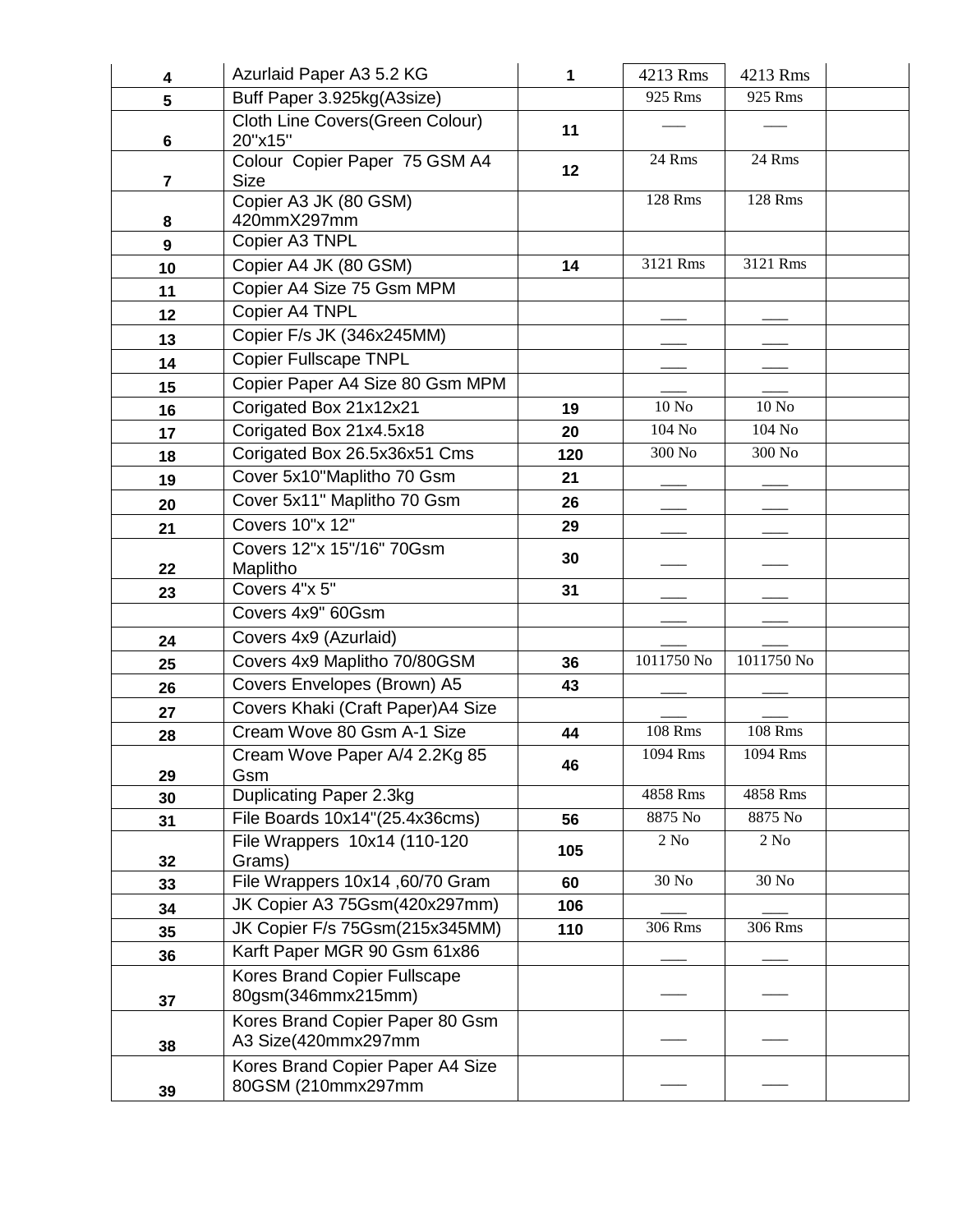| 4              | Azurlaid Paper A3 5.2 KG                               | 1               | 4213 Rms           | 4213 Rms           |
|----------------|--------------------------------------------------------|-----------------|--------------------|--------------------|
| 5              | Buff Paper 3.925kg(A3size)                             |                 | 925 Rms            | 925 Rms            |
| 6              | Cloth Line Covers(Green Colour)<br>20"x15"             | 11              |                    |                    |
| $\overline{7}$ | Colour Copier Paper 75 GSM A4<br><b>Size</b>           | 12 <sub>2</sub> | 24 Rms             | 24 Rms             |
|                | Copier A3 JK (80 GSM)                                  |                 | 128 Rms            | 128 Rms            |
| 8              | 420mmX297mm                                            |                 |                    |                    |
| 9              | Copier A3 TNPL                                         |                 |                    |                    |
| 10             | Copier A4 JK (80 GSM)                                  | 14              | 3121 Rms           | 3121 Rms           |
| 11             | Copier A4 Size 75 Gsm MPM                              |                 |                    |                    |
| 12             | Copier A4 TNPL                                         |                 |                    |                    |
| 13             | Copier F/s JK (346x245MM)                              |                 |                    |                    |
| 14             | <b>Copier Fullscape TNPL</b>                           |                 |                    |                    |
| 15             | Copier Paper A4 Size 80 Gsm MPM                        |                 |                    |                    |
| 16             | Corigated Box 21x12x21                                 | 19              | $10 N0$            | 10 N <sub>o</sub>  |
| 17             | Corigated Box 21x4.5x18                                | 20              | 104 No             | 104 No             |
| 18             | Corigated Box 26.5x36x51 Cms                           | 120             | 300 N <sub>o</sub> | 300 N <sub>o</sub> |
| 19             | Cover 5x10"Maplitho 70 Gsm                             | 21              |                    |                    |
| 20             | Cover 5x11" Maplitho 70 Gsm                            | 26              |                    |                    |
| 21             | Covers 10"x 12"                                        | 29              |                    |                    |
| 22             | Covers 12"x 15"/16" 70Gsm<br>Maplitho                  | 30              |                    |                    |
| 23             | Covers 4"x 5"                                          | 31              |                    |                    |
|                | Covers 4x9" 60Gsm                                      |                 |                    |                    |
| 24             | Covers 4x9 (Azurlaid)                                  |                 |                    |                    |
| 25             | Covers 4x9 Maplitho 70/80GSM                           | 36              | 1011750 No         | 1011750 No         |
|                | Covers Envelopes (Brown) A5                            | 43              |                    |                    |
| 26             | Covers Khaki (Craft Paper) A4 Size                     |                 |                    |                    |
| 27             | Cream Wove 80 Gsm A-1 Size                             | 44              | <b>108 Rms</b>     | <b>108 Rms</b>     |
| 28             | Cream Wove Paper A/4 2.2Kg 85                          |                 | 1094 Rms           | 1094 Rms           |
| 29             | Gsm                                                    | 46              |                    |                    |
| 30             | Duplicating Paper 2.3kg                                |                 | 4858 Rms           | 4858 Rms           |
| 31             | File Boards 10x14"(25.4x36cms)                         | 56              | 8875 No            | 8875 No            |
| 32             | File Wrappers 10x14 (110-120<br>Grams)                 | 105             | 2 N <sub>0</sub>   | $2$ No             |
| 33             | File Wrappers 10x14, 60/70 Gram                        | 60              | 30 No              | 30 No              |
| 34             | JK Copier A3 75Gsm(420x297mm)                          | 106             |                    |                    |
| 35             | JK Copier F/s 75Gsm(215x345MM)                         | 110             | 306 Rms            | 306 Rms            |
| 36             | Karft Paper MGR 90 Gsm 61x86                           |                 |                    |                    |
|                | Kores Brand Copier Fullscape                           |                 |                    |                    |
| 37             | 80gsm(346mmx215mm)                                     |                 |                    |                    |
| 38             | Kores Brand Copier Paper 80 Gsm<br>A3 Size(420mmx297mm |                 |                    |                    |
| 39             | Kores Brand Copier Paper A4 Size<br>80GSM (210mmx297mm |                 |                    |                    |